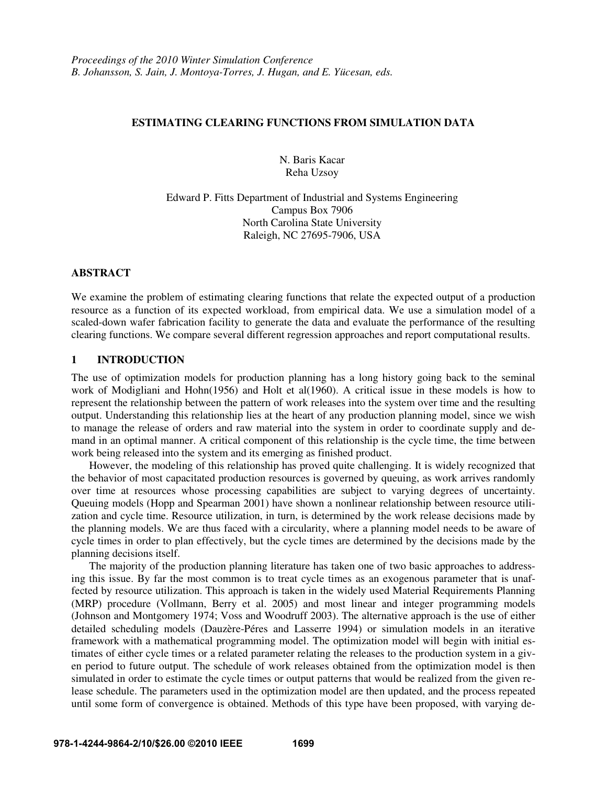## **ESTIMATING CLEARING FUNCTIONS FROM SIMULATION DATA**

N. Baris Kacar Reha Uzsoy

Edward P. Fitts Department of Industrial and Systems Engineering Campus Box 7906 North Carolina State University Raleigh, NC 27695-7906, USA

## **ABSTRACT**

We examine the problem of estimating clearing functions that relate the expected output of a production resource as a function of its expected workload, from empirical data. We use a simulation model of a scaled-down wafer fabrication facility to generate the data and evaluate the performance of the resulting clearing functions. We compare several different regression approaches and report computational results.

# **1 INTRODUCTION**

The use of optimization models for production planning has a long history going back to the seminal work of Modigliani and Hohn(1956) and Holt et al(1960). A critical issue in these models is how to represent the relationship between the pattern of work releases into the system over time and the resulting output. Understanding this relationship lies at the heart of any production planning model, since we wish to manage the release of orders and raw material into the system in order to coordinate supply and demand in an optimal manner. A critical component of this relationship is the cycle time, the time between work being released into the system and its emerging as finished product.

 However, the modeling of this relationship has proved quite challenging. It is widely recognized that the behavior of most capacitated production resources is governed by queuing, as work arrives randomly over time at resources whose processing capabilities are subject to varying degrees of uncertainty. Queuing models (Hopp and Spearman 2001) have shown a nonlinear relationship between resource utilization and cycle time. Resource utilization, in turn, is determined by the work release decisions made by the planning models. We are thus faced with a circularity, where a planning model needs to be aware of cycle times in order to plan effectively, but the cycle times are determined by the decisions made by the planning decisions itself.

The majority of the production planning literature has taken one of two basic approaches to addressing this issue. By far the most common is to treat cycle times as an exogenous parameter that is unaffected by resource utilization. This approach is taken in the widely used Material Requirements Planning (MRP) procedure (Vollmann, Berry et al. 2005) and most linear and integer programming models (Johnson and Montgomery 1974; Voss and Woodruff 2003). The alternative approach is the use of either detailed scheduling models (Dauzère-Péres and Lasserre 1994) or simulation models in an iterative framework with a mathematical programming model. The optimization model will begin with initial estimates of either cycle times or a related parameter relating the releases to the production system in a given period to future output. The schedule of work releases obtained from the optimization model is then simulated in order to estimate the cycle times or output patterns that would be realized from the given release schedule. The parameters used in the optimization model are then updated, and the process repeated until some form of convergence is obtained. Methods of this type have been proposed, with varying de-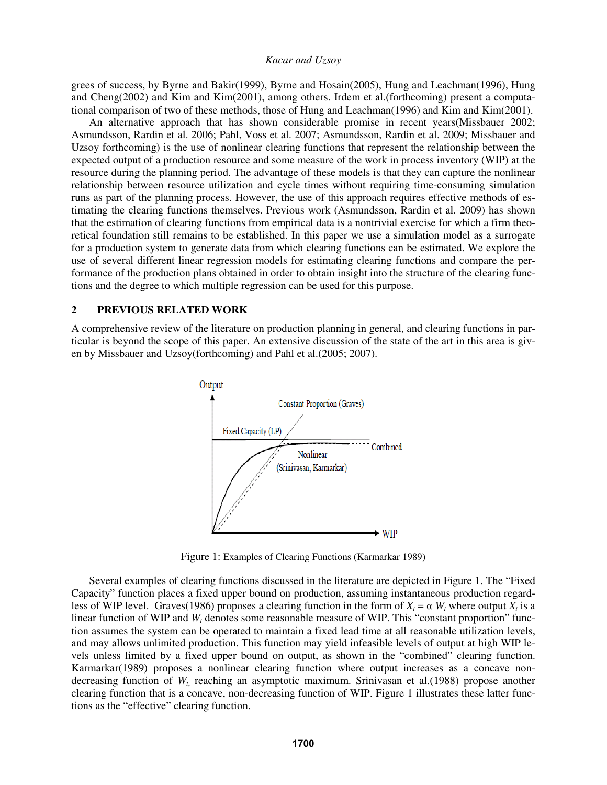grees of success, by Byrne and Bakir(1999), Byrne and Hosain(2005), Hung and Leachman(1996), Hung and Cheng(2002) and Kim and Kim(2001), among others. Irdem et al.(forthcoming) present a computational comparison of two of these methods, those of Hung and Leachman(1996) and Kim and Kim(2001).

An alternative approach that has shown considerable promise in recent years(Missbauer 2002; Asmundsson, Rardin et al. 2006; Pahl, Voss et al. 2007; Asmundsson, Rardin et al. 2009; Missbauer and Uzsoy forthcoming) is the use of nonlinear clearing functions that represent the relationship between the expected output of a production resource and some measure of the work in process inventory (WIP) at the resource during the planning period. The advantage of these models is that they can capture the nonlinear relationship between resource utilization and cycle times without requiring time-consuming simulation runs as part of the planning process. However, the use of this approach requires effective methods of estimating the clearing functions themselves. Previous work (Asmundsson, Rardin et al. 2009) has shown that the estimation of clearing functions from empirical data is a nontrivial exercise for which a firm theoretical foundation still remains to be established. In this paper we use a simulation model as a surrogate for a production system to generate data from which clearing functions can be estimated. We explore the use of several different linear regression models for estimating clearing functions and compare the performance of the production plans obtained in order to obtain insight into the structure of the clearing functions and the degree to which multiple regression can be used for this purpose.

# **2 PREVIOUS RELATED WORK**

A comprehensive review of the literature on production planning in general, and clearing functions in particular is beyond the scope of this paper. An extensive discussion of the state of the art in this area is given by Missbauer and Uzsoy(forthcoming) and Pahl et al.(2005; 2007).



Figure 1: Examples of Clearing Functions (Karmarkar 1989)

 Several examples of clearing functions discussed in the literature are depicted in Figure 1. The "Fixed Capacity" function places a fixed upper bound on production, assuming instantaneous production regardless of WIP level. Graves(1986) proposes a clearing function in the form of  $X_t = \alpha W_t$  where output  $X_t$  is a linear function of WIP and *W<sub>t</sub>* denotes some reasonable measure of WIP. This "constant proportion" function assumes the system can be operated to maintain a fixed lead time at all reasonable utilization levels, and may allows unlimited production. This function may yield infeasible levels of output at high WIP levels unless limited by a fixed upper bound on output, as shown in the "combined" clearing function. Karmarkar(1989) proposes a nonlinear clearing function where output increases as a concave nondecreasing function of  $W_t$ , reaching an asymptotic maximum. Srinivasan et al.(1988) propose another clearing function that is a concave, non-decreasing function of WIP. Figure 1 illustrates these latter functions as the "effective" clearing function.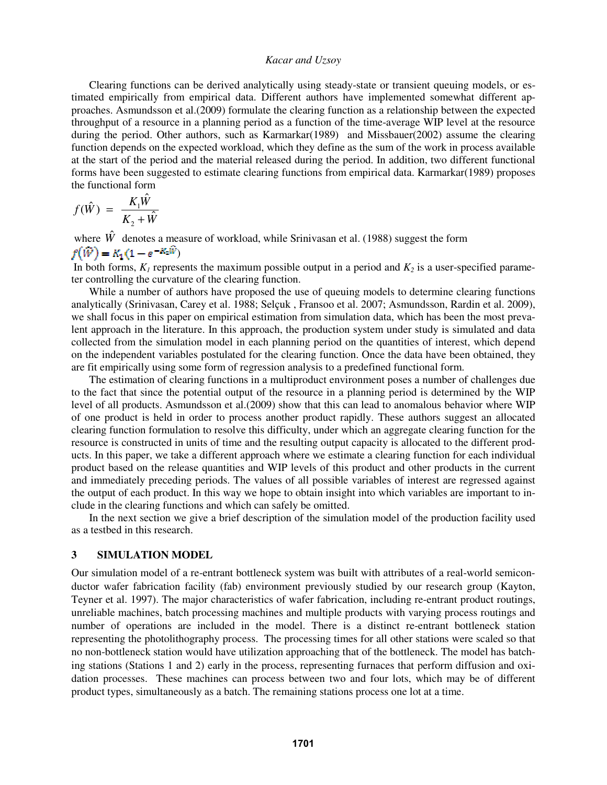Clearing functions can be derived analytically using steady-state or transient queuing models, or estimated empirically from empirical data. Different authors have implemented somewhat different approaches. Asmundsson et al.(2009) formulate the clearing function as a relationship between the expected throughput of a resource in a planning period as a function of the time-average WIP level at the resource during the period. Other authors, such as Karmarkar(1989) and Missbauer(2002) assume the clearing function depends on the expected workload, which they define as the sum of the work in process available at the start of the period and the material released during the period. In addition, two different functional forms have been suggested to estimate clearing functions from empirical data. Karmarkar(1989) proposes the functional form

$$
f(\hat{W}) = \frac{K_1 \hat{W}}{K_2 + \hat{W}}
$$

where  $\hat{W}$  denotes a measure of workload, while Srinivasan et al. (1988) suggest the form  $f(\hat{W}) = K_1(1 - e^{-K_2 \hat{W}})$ 

In both forms,  $K_1$  represents the maximum possible output in a period and  $K_2$  is a user-specified parameter controlling the curvature of the clearing function.

While a number of authors have proposed the use of queuing models to determine clearing functions analytically (Srinivasan, Carey et al. 1988; Selçuk , Fransoo et al. 2007; Asmundsson, Rardin et al. 2009), we shall focus in this paper on empirical estimation from simulation data, which has been the most prevalent approach in the literature. In this approach, the production system under study is simulated and data collected from the simulation model in each planning period on the quantities of interest, which depend on the independent variables postulated for the clearing function. Once the data have been obtained, they are fit empirically using some form of regression analysis to a predefined functional form.

The estimation of clearing functions in a multiproduct environment poses a number of challenges due to the fact that since the potential output of the resource in a planning period is determined by the WIP level of all products. Asmundsson et al.(2009) show that this can lead to anomalous behavior where WIP of one product is held in order to process another product rapidly. These authors suggest an allocated clearing function formulation to resolve this difficulty, under which an aggregate clearing function for the resource is constructed in units of time and the resulting output capacity is allocated to the different products. In this paper, we take a different approach where we estimate a clearing function for each individual product based on the release quantities and WIP levels of this product and other products in the current and immediately preceding periods. The values of all possible variables of interest are regressed against the output of each product. In this way we hope to obtain insight into which variables are important to include in the clearing functions and which can safely be omitted.

 In the next section we give a brief description of the simulation model of the production facility used as a testbed in this research.

#### **3 SIMULATION MODEL**

Our simulation model of a re-entrant bottleneck system was built with attributes of a real-world semiconductor wafer fabrication facility (fab) environment previously studied by our research group (Kayton, Teyner et al. 1997). The major characteristics of wafer fabrication, including re-entrant product routings, unreliable machines, batch processing machines and multiple products with varying process routings and number of operations are included in the model. There is a distinct re-entrant bottleneck station representing the photolithography process. The processing times for all other stations were scaled so that no non-bottleneck station would have utilization approaching that of the bottleneck. The model has batching stations (Stations 1 and 2) early in the process, representing furnaces that perform diffusion and oxidation processes. These machines can process between two and four lots, which may be of different product types, simultaneously as a batch. The remaining stations process one lot at a time.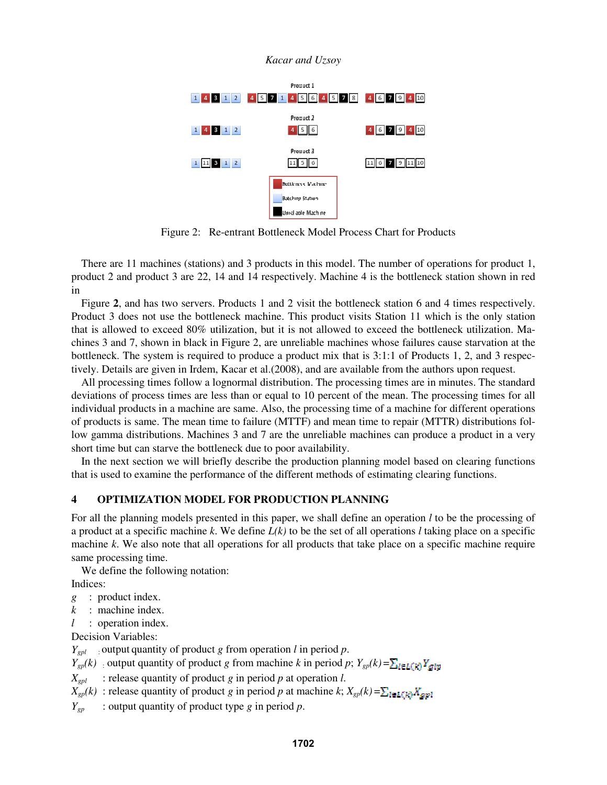

Figure 2:Re-entrant Bottleneck Model Process Chart for Products

There are 11 machines (stations) and 3 products in this model. The number of operations for product 1, product 2 and product 3 are 22, 14 and 14 respectively. Machine 4 is the bottleneck station shown in red in

Figure **2**, and has two servers. Products 1 and 2 visit the bottleneck station 6 and 4 times respectively. Product 3 does not use the bottleneck machine. This product visits Station 11 which is the only station that is allowed to exceed 80% utilization, but it is not allowed to exceed the bottleneck utilization. Machines 3 and 7, shown in black in Figure 2, are unreliable machines whose failures cause starvation at the bottleneck. The system is required to produce a product mix that is 3:1:1 of Products 1, 2, and 3 respectively. Details are given in Irdem, Kacar et al.(2008), and are available from the authors upon request.

All processing times follow a lognormal distribution. The processing times are in minutes. The standard deviations of process times are less than or equal to 10 percent of the mean. The processing times for all individual products in a machine are same. Also, the processing time of a machine for different operations of products is same. The mean time to failure (MTTF) and mean time to repair (MTTR) distributions follow gamma distributions. Machines 3 and 7 are the unreliable machines can produce a product in a very short time but can starve the bottleneck due to poor availability.

In the next section we will briefly describe the production planning model based on clearing functions that is used to examine the performance of the different methods of estimating clearing functions.

## **4 OPTIMIZATION MODEL FOR PRODUCTION PLANNING**

For all the planning models presented in this paper, we shall define an operation *l* to be the processing of a product at a specific machine *k*. We define *L(k)* to be the set of all operations *l* taking place on a specific machine *k*. We also note that all operations for all products that take place on a specific machine require same processing time.

We define the following notation:

Indices:

- *g* : product index.
- *k* : machine index.
- *l* : operation index.

Decision Variables:

*Ygpl* : output quantity of product *g* from operation *l* in period *p*.

 $Y_{gp}(k)$  : output quantity of product *g* from machine *k* in period *p*;  $Y_{gp}(k) = \sum_{i \in L(k)} Y_{glip}$ 

 $X_{gpl}$  : release quantity of product *g* in period *p* at operation *l*.

 $X_{gp}(k)$ : release quantity of product *g* in period *p* at machine *k*;  $X_{gp}(k) = \sum_{l \in L(k)} X_{gp(l)}$ 

*Ygp* : output quantity of product type *g* in period *p*.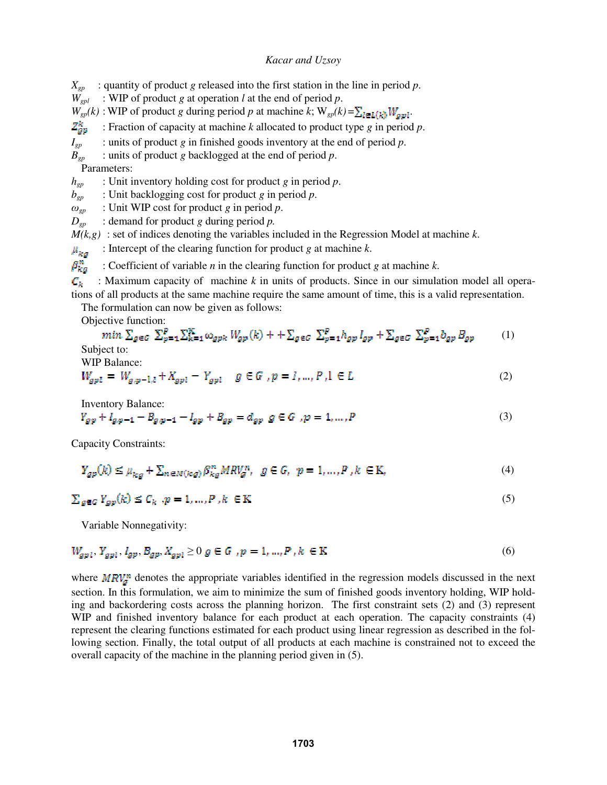$X_{\text{gp}}$  : quantity of product *g* released into the first station in the line in period *p*.

*Wgpl* : WIP of product *g* at operation *l* at the end of period *p*.

 $W_{gp}(k)$ : WIP of product *g* during period *p* at machine *k*;  $W_{gp}(k) = \sum_{l \in L(k)} W_{gp}(l)$ .

 $\mathbb{Z}_{\text{gp}}^k$  : Fraction of capacity at machine *k* allocated to product type *g* in period *p*.

*I<sub>gp</sub>* : units of product *g* in finished goods inventory at the end of period *p*.<br>*B<sub>on</sub>* : units of product *g* backlogged at the end of period *p*.

*Bgp* : units of product *g* backlogged at the end of period *p*.

Parameters:

*hgp* : Unit inventory holding cost for product *g* in period *p*.

*bgp* : Unit backlogging cost for product *g* in period *p*.

 $\omega_{gp}$  : Unit WIP cost for product *g* in period *p*.

 $D_{gp}$  : demand for product *g* during period *p*.

 $M(k, g)$ : set of indices denoting the variables included in the Regression Model at machine  $k$ .

 $\mu_{ka}$  : Intercept of the clearing function for product *g* at machine *k*.

 $\beta_{kq}^{n}$  : Coefficient of variable *n* in the clearing function for product *g* at machine *k*.

 $\mathcal{C}_k$  : Maximum capacity of machine *k* in units of products. Since in our simulation model all operations of all products at the same machine require the same amount of time, this is a valid representation.

The formulation can now be given as follows:

Objective function:

$$
\min \sum_{g \in G} \sum_{p=1}^{P} \sum_{k=1}^{K} \omega_{gpk} W_{gp}(k) + \sum_{g \in G} \sum_{p=1}^{P} h_{gp} I_{gp} + \sum_{g \in G} \sum_{p=1}^{P} b_{gp} B_{gp} \tag{1}
$$
  
Subject to:

WIP Balance:

$$
W_{gpl} = W_{g,p-1,l} + X_{gpl} - Y_{gpl} \quad g \in G \text{ , } p = l, ..., P, l \in L \tag{2}
$$

Inventory Balance:

$$
Y_{gp} + I_{g,p-1} - B_{g,p-1} - I_{gp} + B_{gp} = d_{gp} g \in G, p = 1, ..., P
$$
\n(3)

Capacity Constraints:

$$
Y_{gp}(k) \le \mu_{kg} + \sum_{n \in M(kg)} \beta_{kg}^n M R V_g^n, \quad g \in G, \quad p = 1, \dots, P, k \in \mathbb{K},
$$
\n
$$
\tag{4}
$$

$$
\sum_{g \in G} Y_{gg}(k) \le C_k, p = 1, \dots, P, k \in \mathbb{K}
$$
\n<sup>(5)</sup>

Variable Nonnegativity:

$$
W_{gpl}, Y_{gpl}, I_{gp}, B_{gp}, X_{gpl} \ge 0 \text{ g} \in G, p = 1, ..., P, k \in K
$$
 (6)

where  $MRV_a^n$  denotes the appropriate variables identified in the regression models discussed in the next section. In this formulation, we aim to minimize the sum of finished goods inventory holding, WIP holding and backordering costs across the planning horizon. The first constraint sets (2) and (3) represent WIP and finished inventory balance for each product at each operation. The capacity constraints (4) represent the clearing functions estimated for each product using linear regression as described in the following section. Finally, the total output of all products at each machine is constrained not to exceed the overall capacity of the machine in the planning period given in (5).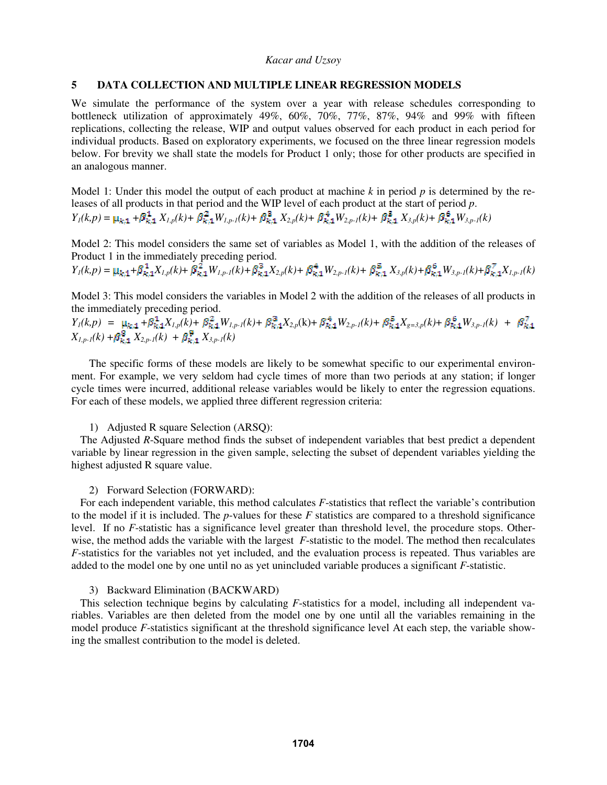## **5 DATA COLLECTION AND MULTIPLE LINEAR REGRESSION MODELS**

We simulate the performance of the system over a year with release schedules corresponding to bottleneck utilization of approximately 49%, 60%, 70%, 77%, 87%, 94% and 99% with fifteen replications, collecting the release, WIP and output values observed for each product in each period for individual products. Based on exploratory experiments, we focused on the three linear regression models below. For brevity we shall state the models for Product 1 only; those for other products are specified in an analogous manner.

Model 1: Under this model the output of each product at machine  $k$  in period  $p$  is determined by the releases of all products in that period and the WIP level of each product at the start of period *p*.  $Y_1(k,p) = \mu_{k,1} + \beta_{k,1}^1 X_{l,p}(k) + \beta_{k,1}^2 W_{l,p-1}(k) + \beta_{k,1}^3 X_{2,p}(k) + \beta_{k,1}^4 W_{2,p-1}(k) + \beta_{k,1}^5 X_{3,p}(k) + \beta_{k,1}^6 W_{3,p-1}(k)$ 

Model 2: This model considers the same set of variables as Model 1, with the addition of the releases of Product 1 in the immediately preceding period.

$$
Y_{l}(k,p) = \mu_{k,1} + \beta_{k,1}^{1} X_{l,p}(k) + \beta_{k,1}^{2} W_{l,p-l}(k) + \beta_{k,1}^{3} X_{2,p}(k) + \beta_{k,1}^{4} W_{2,p-l}(k) + \beta_{k,1}^{5} X_{3,p}(k) + \beta_{k,1}^{6} W_{3,p-l}(k) + \beta_{k,1}^{7} X_{l,p-l}(k)
$$

Model 3: This model considers the variables in Model 2 with the addition of the releases of all products in the immediately preceding period.

 $Y_1(k,p) = \mu_{k,1} + \beta_{k,1}^1 X_{l,p}(k) + \beta_{k,1}^2 W_{l,p-1}(k) + \beta_{k,1}^3 X_{2,p}(k) + \beta_{k,1}^4 W_{2,p-1}(k) + \beta_{k,1}^5 X_{g=3,p}(k) + \beta_{k,1}^6 W_{3,p-1}(k)$  $X_{1,p-1}(k) + \beta_{k,1}^2 X_{2,p-1}(k) + \beta_{k,1}^2 X_{3,p-1}(k)$ 

The specific forms of these models are likely to be somewhat specific to our experimental environment. For example, we very seldom had cycle times of more than two periods at any station; if longer cycle times were incurred, additional release variables would be likely to enter the regression equations. For each of these models, we applied three different regression criteria:

## 1) Adjusted R square Selection (ARSQ):

The Adjusted *R*-Square method finds the subset of independent variables that best predict a dependent variable by linear regression in the given sample, selecting the subset of dependent variables yielding the highest adjusted R square value.

#### 2) Forward Selection (FORWARD):

For each independent variable, this method calculates *F*-statistics that reflect the variable's contribution to the model if it is included. The *p*-values for these *F* statistics are compared to a threshold significance level. If no *F*-statistic has a significance level greater than threshold level, the procedure stops. Otherwise, the method adds the variable with the largest *F*-statistic to the model. The method then recalculates *F*-statistics for the variables not yet included, and the evaluation process is repeated. Thus variables are added to the model one by one until no as yet unincluded variable produces a significant *F*-statistic.

### 3) Backward Elimination (BACKWARD)

This selection technique begins by calculating *F*-statistics for a model, including all independent variables. Variables are then deleted from the model one by one until all the variables remaining in the model produce *F*-statistics significant at the threshold significance level At each step, the variable showing the smallest contribution to the model is deleted.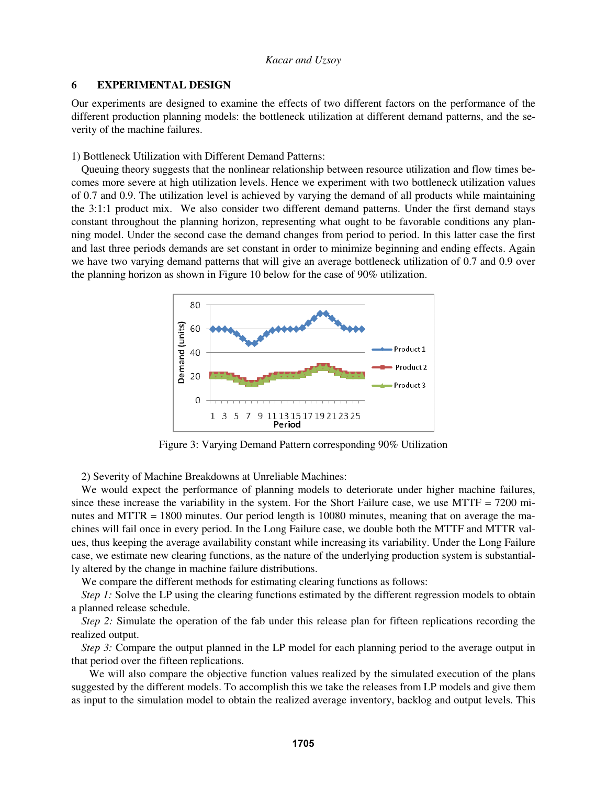### **6 EXPERIMENTAL DESIGN**

Our experiments are designed to examine the effects of two different factors on the performance of the different production planning models: the bottleneck utilization at different demand patterns, and the severity of the machine failures.

1) Bottleneck Utilization with Different Demand Patterns:

Queuing theory suggests that the nonlinear relationship between resource utilization and flow times becomes more severe at high utilization levels. Hence we experiment with two bottleneck utilization values of 0.7 and 0.9. The utilization level is achieved by varying the demand of all products while maintaining the 3:1:1 product mix. We also consider two different demand patterns. Under the first demand stays constant throughout the planning horizon, representing what ought to be favorable conditions any planning model. Under the second case the demand changes from period to period. In this latter case the first and last three periods demands are set constant in order to minimize beginning and ending effects. Again we have two varying demand patterns that will give an average bottleneck utilization of 0.7 and 0.9 over the planning horizon as shown in Figure 10 below for the case of 90% utilization.



Figure 3: Varying Demand Pattern corresponding 90% Utilization

2) Severity of Machine Breakdowns at Unreliable Machines:

We would expect the performance of planning models to deteriorate under higher machine failures, since these increase the variability in the system. For the Short Failure case, we use MTTF =  $7200$  minutes and MTTR = 1800 minutes. Our period length is 10080 minutes, meaning that on average the machines will fail once in every period. In the Long Failure case, we double both the MTTF and MTTR values, thus keeping the average availability constant while increasing its variability. Under the Long Failure case, we estimate new clearing functions, as the nature of the underlying production system is substantially altered by the change in machine failure distributions.

We compare the different methods for estimating clearing functions as follows:

*Step 1:* Solve the LP using the clearing functions estimated by the different regression models to obtain a planned release schedule.

*Step 2:* Simulate the operation of the fab under this release plan for fifteen replications recording the realized output.

*Step 3:* Compare the output planned in the LP model for each planning period to the average output in that period over the fifteen replications.

 We will also compare the objective function values realized by the simulated execution of the plans suggested by the different models. To accomplish this we take the releases from LP models and give them as input to the simulation model to obtain the realized average inventory, backlog and output levels. This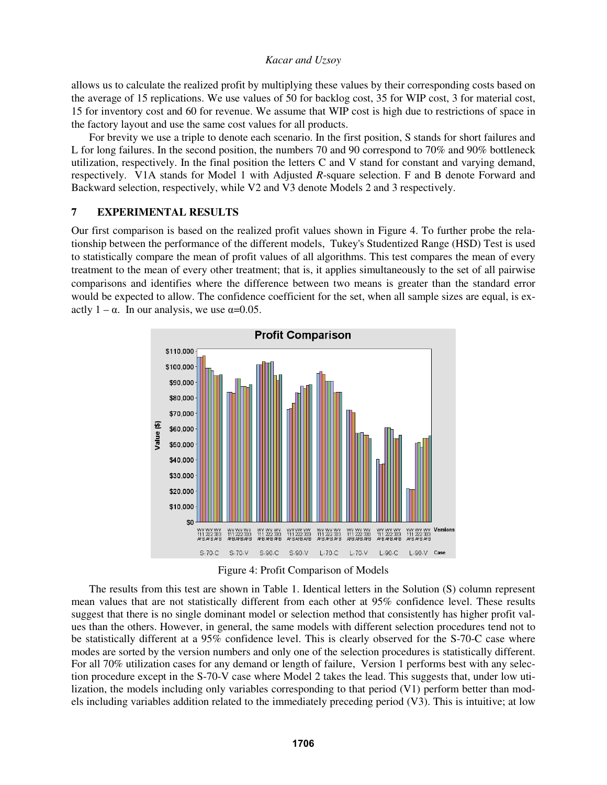allows us to calculate the realized profit by multiplying these values by their corresponding costs based on the average of 15 replications. We use values of 50 for backlog cost, 35 for WIP cost, 3 for material cost, 15 for inventory cost and 60 for revenue. We assume that WIP cost is high due to restrictions of space in the factory layout and use the same cost values for all products.

For brevity we use a triple to denote each scenario. In the first position, S stands for short failures and L for long failures. In the second position, the numbers 70 and 90 correspond to 70% and 90% bottleneck utilization, respectively. In the final position the letters C and V stand for constant and varying demand, respectively. V1A stands for Model 1 with Adjusted *R*-square selection. F and B denote Forward and Backward selection, respectively, while V2 and V3 denote Models 2 and 3 respectively.

# **7 EXPERIMENTAL RESULTS**

Our first comparison is based on the realized profit values shown in Figure 4. To further probe the relationship between the performance of the different models, Tukey's Studentized Range (HSD) Test is used to statistically compare the mean of profit values of all algorithms. This test compares the mean of every treatment to the mean of every other treatment; that is, it applies simultaneously to the set of all pairwise comparisons and identifies where the difference between two means is greater than the standard error would be expected to allow. The confidence coefficient for the set, when all sample sizes are equal, is exactly  $1 - \alpha$ . In our analysis, we use  $\alpha = 0.05$ .



Figure 4: Profit Comparison of Models

 The results from this test are shown in Table 1. Identical letters in the Solution (S) column represent mean values that are not statistically different from each other at 95% confidence level. These results suggest that there is no single dominant model or selection method that consistently has higher profit values than the others. However, in general, the same models with different selection procedures tend not to be statistically different at a 95% confidence level. This is clearly observed for the S-70-C case where modes are sorted by the version numbers and only one of the selection procedures is statistically different. For all 70% utilization cases for any demand or length of failure, Version 1 performs best with any selection procedure except in the S-70-V case where Model 2 takes the lead. This suggests that, under low utilization, the models including only variables corresponding to that period (V1) perform better than models including variables addition related to the immediately preceding period (V3). This is intuitive; at low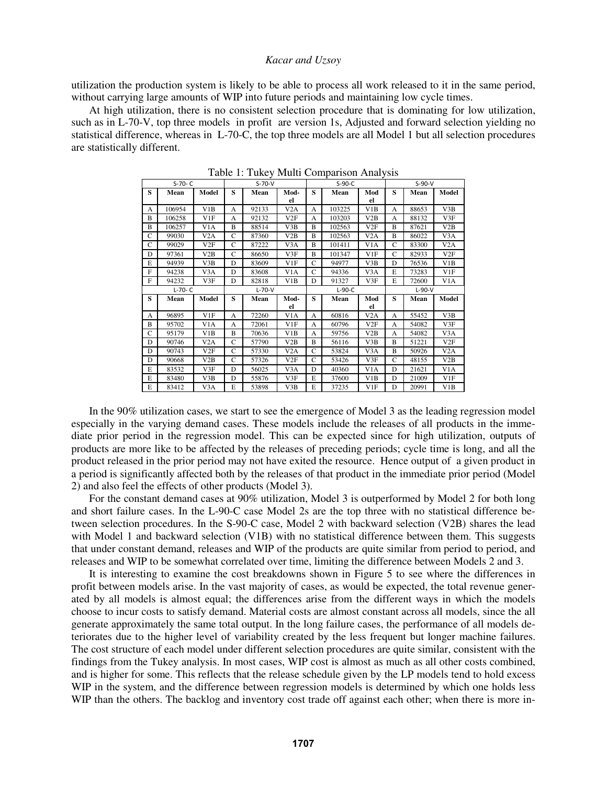utilization the production system is likely to be able to process all work released to it in the same period, without carrying large amounts of WIP into future periods and maintaining low cycle times.

 At high utilization, there is no consistent selection procedure that is dominating for low utilization, such as in L-70-V, top three models in profit are version 1s, Adjusted and forward selection yielding no statistical difference, whereas in L-70-C, the top three models are all Model 1 but all selection procedures are statistically different.

|              | $S-70- C$ |                  | $S-70-V$     |       |                  | $S-90-C$      |        |                  | $S-90-V$ |       |                  |
|--------------|-----------|------------------|--------------|-------|------------------|---------------|--------|------------------|----------|-------|------------------|
| S            | Mean      | Model            | s            | Mean  | Mod-             | S             | Mean   | Mod              | S        | Mean  | Model            |
|              |           |                  |              |       | el               |               |        | el               |          |       |                  |
| A            | 106954    | V1B              | А            | 92133 | V <sub>2</sub> A | A             | 103225 | V1B              | A        | 88653 | V3B              |
| B            | 106258    | V1F              | A            | 92132 | V2F              | A             | 103203 | V2B              | A        | 88132 | V3F              |
| B            | 106257    | V <sub>1</sub> A | B            | 88514 | V3B              | B             | 102563 | V2F              | B        | 87621 | V2B              |
| C            | 99030     | V2A              | C            | 87360 | V2B              | B             | 102563 | V2A              | B        | 86022 | V3A              |
| C            | 99029     | V2F              | C            | 87222 | V <sub>3</sub> A | B             | 101411 | V <sub>1</sub> A | C        | 83300 | V2A              |
| D            | 97361     | V2B              | C            | 86650 | V3F              | B             | 101347 | V1F              | C        | 82933 | V2F              |
| E            | 94939     | V3B              | D            | 83609 | V1F              | C             | 94977  | V3B              | D        | 76536 | V1B              |
| F            | 94238     | V3A              | D            | 83608 | V1A              | C             | 94336  | V3A              | E        | 73283 | V1F              |
| $\mathbf{F}$ | 94232     | V3F              | D            | 82818 | V1B              | D             | 91327  | V3F              | E        | 72600 | V <sub>1</sub> A |
| $L-70- C$    |           |                  | $L-70-V$     |       |                  | $L-90-C$      |        |                  | $L-90-V$ |       |                  |
| S            | Mean      | Model            | s            | Mean  | Mod-             | s             | Mean   | Mod              | S        | Mean  | Model            |
|              |           |                  |              |       | el               |               |        | el               |          |       |                  |
| A            | 96895     | V1F              | A            | 72260 | V1A              | A             | 60816  | V <sub>2</sub> A | A        | 55452 | V3B              |
| B            | 95702     | V <sub>1</sub> A | А            | 72061 | V1F              | A             | 60796  | V2F              | A        | 54082 | V3F              |
| C            | 95179     | V1B              | B            | 70636 | V1B              | A             | 59756  | V2B              | A        | 54082 | V3A              |
| D            | 90746     | V <sub>2</sub> A | C            | 57790 | V2B              | B             | 56116  | V3B              | B        | 51221 | V2F              |
| D            | 90743     | V2F              | C            | 57330 | V <sub>2</sub> A | $\mathsf{C}$  | 53824  | V3A              | B        | 50926 | V <sub>2</sub> A |
| D            | 90668     | V2B              | $\mathsf{C}$ | 57326 | V2F              | $\mathcal{C}$ | 53426  | V3F              | C        | 48155 | V2B              |
| E            | 83532     | V3F              | D            | 56025 | V3A              | D             | 40360  | V <sub>1</sub> A | D        | 21621 | V <sub>1</sub> A |
| E            | 83480     | V3B              | D            | 55876 | V3F              | E             | 37600  | V1B              | D        | 21009 | V1F              |
| E            | 83412     | V3A              | E            | 53898 | V3B              | E             | 37235  | V1F              | D        | 20991 | V1B              |

Table 1: Tukey Multi Comparison Analysis

In the 90% utilization cases, we start to see the emergence of Model 3 as the leading regression model especially in the varying demand cases. These models include the releases of all products in the immediate prior period in the regression model. This can be expected since for high utilization, outputs of products are more like to be affected by the releases of preceding periods; cycle time is long, and all the product released in the prior period may not have exited the resource. Hence output of a given product in a period is significantly affected both by the releases of that product in the immediate prior period (Model 2) and also feel the effects of other products (Model 3).

For the constant demand cases at 90% utilization, Model 3 is outperformed by Model 2 for both long and short failure cases. In the L-90-C case Model 2s are the top three with no statistical difference between selection procedures. In the S-90-C case, Model 2 with backward selection (V2B) shares the lead with Model 1 and backward selection (V1B) with no statistical difference between them. This suggests that under constant demand, releases and WIP of the products are quite similar from period to period, and releases and WIP to be somewhat correlated over time, limiting the difference between Models 2 and 3.

 It is interesting to examine the cost breakdowns shown in Figure 5 to see where the differences in profit between models arise. In the vast majority of cases, as would be expected, the total revenue generated by all models is almost equal; the differences arise from the different ways in which the models choose to incur costs to satisfy demand. Material costs are almost constant across all models, since the all generate approximately the same total output. In the long failure cases, the performance of all models deteriorates due to the higher level of variability created by the less frequent but longer machine failures. The cost structure of each model under different selection procedures are quite similar, consistent with the findings from the Tukey analysis. In most cases, WIP cost is almost as much as all other costs combined, and is higher for some. This reflects that the release schedule given by the LP models tend to hold excess WIP in the system, and the difference between regression models is determined by which one holds less WIP than the others. The backlog and inventory cost trade off against each other; when there is more in-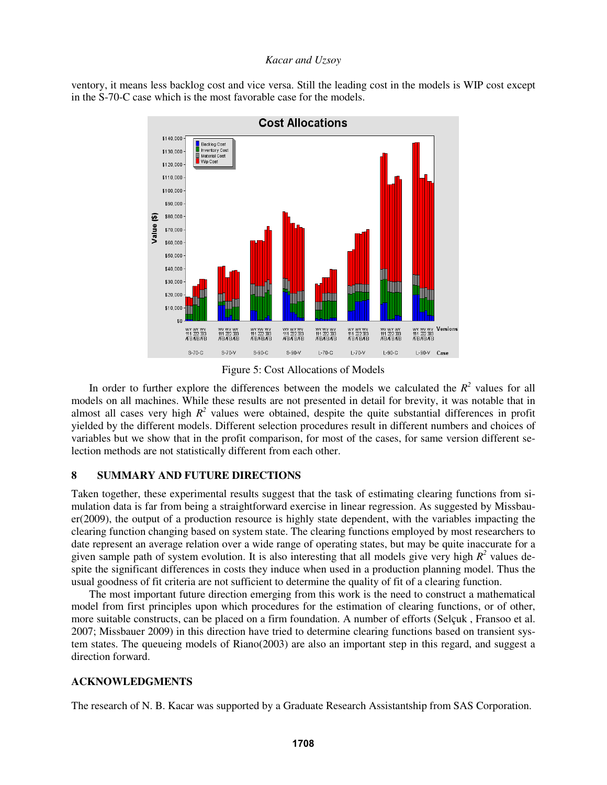ventory, it means less backlog cost and vice versa. Still the leading cost in the models is WIP cost except in the S-70-C case which is the most favorable case for the models.



#### Figure 5: Cost Allocations of Models

In order to further explore the differences between the models we calculated the  $R<sup>2</sup>$  values for all models on all machines. While these results are not presented in detail for brevity, it was notable that in almost all cases very high  $R^2$  values were obtained, despite the quite substantial differences in profit yielded by the different models. Different selection procedures result in different numbers and choices of variables but we show that in the profit comparison, for most of the cases, for same version different selection methods are not statistically different from each other.

## **8 SUMMARY AND FUTURE DIRECTIONS**

Taken together, these experimental results suggest that the task of estimating clearing functions from simulation data is far from being a straightforward exercise in linear regression. As suggested by Missbauer(2009), the output of a production resource is highly state dependent, with the variables impacting the clearing function changing based on system state. The clearing functions employed by most researchers to date represent an average relation over a wide range of operating states, but may be quite inaccurate for a given sample path of system evolution. It is also interesting that all models give very high  $R^2$  values despite the significant differences in costs they induce when used in a production planning model. Thus the usual goodness of fit criteria are not sufficient to determine the quality of fit of a clearing function.

The most important future direction emerging from this work is the need to construct a mathematical model from first principles upon which procedures for the estimation of clearing functions, or of other, more suitable constructs, can be placed on a firm foundation. A number of efforts (Selçuk , Fransoo et al. 2007; Missbauer 2009) in this direction have tried to determine clearing functions based on transient system states. The queueing models of Riano(2003) are also an important step in this regard, and suggest a direction forward.

# **ACKNOWLEDGMENTS**

The research of N. B. Kacar was supported by a Graduate Research Assistantship from SAS Corporation.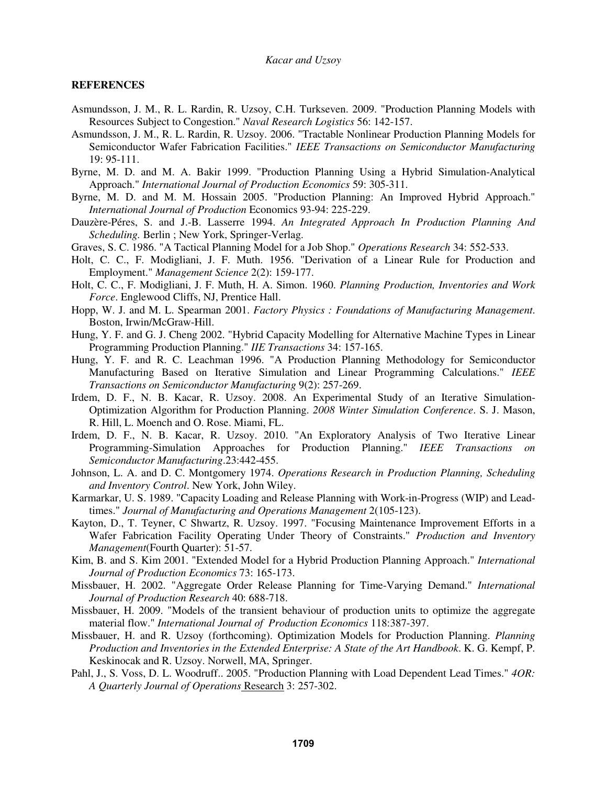#### **REFERENCES**

- Asmundsson, J. M., R. L. Rardin, R. Uzsoy, C.H. Turkseven. 2009. "Production Planning Models with Resources Subject to Congestion." *Naval Research Logistics* 56: 142-157.
- Asmundsson, J. M., R. L. Rardin, R. Uzsoy. 2006. "Tractable Nonlinear Production Planning Models for Semiconductor Wafer Fabrication Facilities." *IEEE Transactions on Semiconductor Manufacturing* 19: 95-111.
- Byrne, M. D. and M. A. Bakir 1999. "Production Planning Using a Hybrid Simulation-Analytical Approach." *International Journal of Production Economics* 59: 305-311.
- Byrne, M. D. and M. M. Hossain 2005. "Production Planning: An Improved Hybrid Approach." *International Journal of Production* Economics 93-94: 225-229.
- Dauzère-Péres, S. and J.-B. Lasserre 1994. *An Integrated Approach In Production Planning And Scheduling.* Berlin ; New York, Springer-Verlag.
- Graves, S. C. 1986. "A Tactical Planning Model for a Job Shop." *Operations Research* 34: 552-533.
- Holt, C. C., F. Modigliani, J. F. Muth. 1956. "Derivation of a Linear Rule for Production and Employment." *Management Science* 2(2): 159-177.
- Holt, C. C., F. Modigliani, J. F. Muth, H. A. Simon. 1960. *Planning Production, Inventories and Work Force*. Englewood Cliffs, NJ, Prentice Hall.
- Hopp, W. J. and M. L. Spearman 2001. *Factory Physics : Foundations of Manufacturing Management*. Boston, Irwin/McGraw-Hill.
- Hung, Y. F. and G. J. Cheng 2002. "Hybrid Capacity Modelling for Alternative Machine Types in Linear Programming Production Planning." *IIE Transactions* 34: 157-165.
- Hung, Y. F. and R. C. Leachman 1996. "A Production Planning Methodology for Semiconductor Manufacturing Based on Iterative Simulation and Linear Programming Calculations." *IEEE Transactions on Semiconductor Manufacturing* 9(2): 257-269.
- Irdem, D. F., N. B. Kacar, R. Uzsoy. 2008. An Experimental Study of an Iterative Simulation-Optimization Algorithm for Production Planning. *2008 Winter Simulation Conference*. S. J. Mason, R. Hill, L. Moench and O. Rose. Miami, FL.
- Irdem, D. F., N. B. Kacar, R. Uzsoy. 2010. "An Exploratory Analysis of Two Iterative Linear Programming-Simulation Approaches for Production Planning." *IEEE Transactions on Semiconductor Manufacturing*.23:442-455.
- Johnson, L. A. and D. C. Montgomery 1974. *Operations Research in Production Planning, Scheduling and Inventory Control*. New York, John Wiley.
- Karmarkar, U. S. 1989. "Capacity Loading and Release Planning with Work-in-Progress (WIP) and Leadtimes." *Journal of Manufacturing and Operations Management* 2(105-123).
- Kayton, D., T. Teyner, C Shwartz, R. Uzsoy. 1997. "Focusing Maintenance Improvement Efforts in a Wafer Fabrication Facility Operating Under Theory of Constraints." *Production and Inventory Management*(Fourth Quarter): 51-57.
- Kim, B. and S. Kim 2001. "Extended Model for a Hybrid Production Planning Approach." *International Journal of Production Economics* 73: 165-173.
- Missbauer, H. 2002. "Aggregate Order Release Planning for Time-Varying Demand." *International Journal of Production Research* 40: 688-718.
- Missbauer, H. 2009. "Models of the transient behaviour of production units to optimize the aggregate material flow." *International Journal of Production Economics* 118:387-397.
- Missbauer, H. and R. Uzsoy (forthcoming). Optimization Models for Production Planning. *Planning Production and Inventories in the Extended Enterprise: A State of the Art Handbook*. K. G. Kempf, P. Keskinocak and R. Uzsoy. Norwell, MA, Springer.
- Pahl, J., S. Voss, D. L. Woodruff.. 2005. "Production Planning with Load Dependent Lead Times." *4OR: A Quarterly Journal of Operations* Research 3: 257-302.